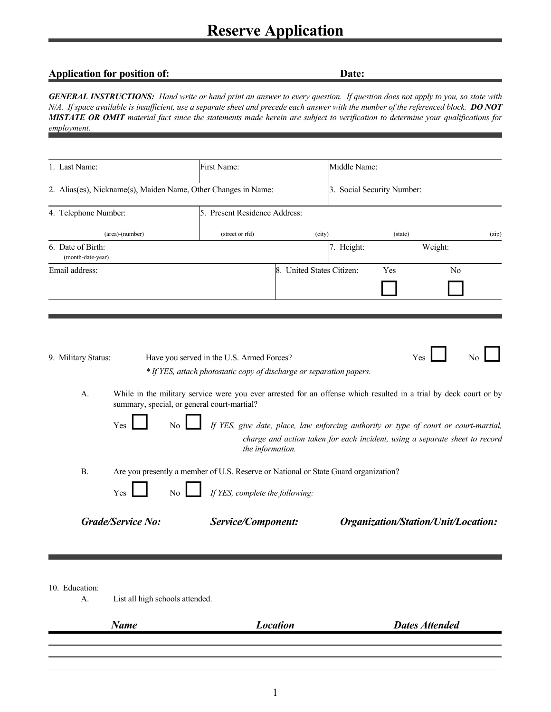## **Application for position of:** Date:

*GENERAL INSTRUCTIONS: Hand write or hand print an answer to every question. If question does not apply to you, so state with N/A. If space available is insufficient, use a separate sheet and precede each answer with the number of the referenced block. DO NOT MISTATE OR OMIT material fact since the statements made herein are subject to verification to determine your qualifications for employment.*

| 1. Last Name:                                                  | First Name:                                                                                                                                                                                                                            | Middle Name:                                                                |                                     |       |
|----------------------------------------------------------------|----------------------------------------------------------------------------------------------------------------------------------------------------------------------------------------------------------------------------------------|-----------------------------------------------------------------------------|-------------------------------------|-------|
| 2. Alias(es), Nickname(s), Maiden Name, Other Changes in Name: |                                                                                                                                                                                                                                        |                                                                             | 3. Social Security Number:          |       |
| 4. Telephone Number:                                           | 5. Present Residence Address:                                                                                                                                                                                                          |                                                                             |                                     |       |
| (area)-(number)                                                | (street or rfd)                                                                                                                                                                                                                        | (city)                                                                      | (state)                             | (zip) |
| 6. Date of Birth:<br>(month-date-year)                         |                                                                                                                                                                                                                                        | 7. Height:                                                                  | Weight:                             |       |
| Email address:                                                 |                                                                                                                                                                                                                                        | 8. United States Citizen:                                                   | Yes                                 | No    |
| 9. Military Status:<br>A.                                      | Have you served in the U.S. Armed Forces?<br>* If YES, attach photostatic copy of discharge or separation papers.<br>While in the military service were you ever arrested for an offense which resulted in a trial by deck court or by |                                                                             | Yes                                 | No    |
| summary, special, or general court-martial?<br>Yes<br>No.      | If YES, give date, place, law enforcing authority or type of court or court-martial,<br>the information.                                                                                                                               | charge and action taken for each incident, using a separate sheet to record |                                     |       |
| <b>B.</b>                                                      | Are you presently a member of U.S. Reserve or National or State Guard organization?                                                                                                                                                    |                                                                             |                                     |       |
| Yes<br>No                                                      | If YES, complete the following:                                                                                                                                                                                                        |                                                                             |                                     |       |
| <b>Grade/Service No:</b>                                       | <b>Service/Component:</b>                                                                                                                                                                                                              |                                                                             | Organization/Station/Unit/Location: |       |

10. Education:

Н

A. List all high schools attended.

| Name | <b>Location</b> | <b>Dates Attended</b> |
|------|-----------------|-----------------------|
|      |                 |                       |
|      |                 |                       |
|      |                 |                       |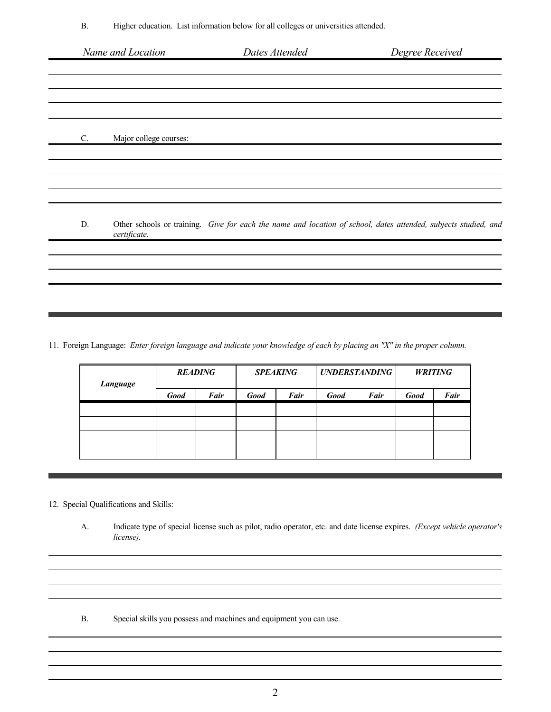| Name and Location                        | Dates Attended | Degree Received                                                                                                 |
|------------------------------------------|----------------|-----------------------------------------------------------------------------------------------------------------|
|                                          |                |                                                                                                                 |
|                                          |                |                                                                                                                 |
|                                          |                |                                                                                                                 |
|                                          |                |                                                                                                                 |
| Major college courses:<br>$\mathbb{C}$ . |                |                                                                                                                 |
|                                          |                |                                                                                                                 |
|                                          |                |                                                                                                                 |
|                                          |                |                                                                                                                 |
| D.<br>certificate.                       |                | Other schools or training. Give for each the name and location of school, dates attended, subjects studied, and |
|                                          |                |                                                                                                                 |
|                                          |                |                                                                                                                 |
|                                          |                |                                                                                                                 |
|                                          |                |                                                                                                                 |

11. Foreign Language: *Enter foreign language and indicate your knowledge of each by placing an "X" in the proper column.*

| <b>Language</b> |             | <b>READING</b> |             | <b>SPEAKING</b> |             | <b>UNDERSTANDING</b> |             | <b>WRITING</b> |
|-----------------|-------------|----------------|-------------|-----------------|-------------|----------------------|-------------|----------------|
|                 | <b>Good</b> | Fair           | <b>Good</b> | Fair            | <b>Good</b> | Fair                 | <b>Good</b> | <b>Fair</b>    |
|                 |             |                |             |                 |             |                      |             |                |
|                 |             |                |             |                 |             |                      |             |                |
|                 |             |                |             |                 |             |                      |             |                |
|                 |             |                |             |                 |             |                      |             |                |

## 12. Special Qualifications and Skills:

A. Indicate type of special license such as pilot, radio operator, etc. and date license expires. *(Except vehicle operator's license).*

B. Special skills you possess and machines and equipment you can use.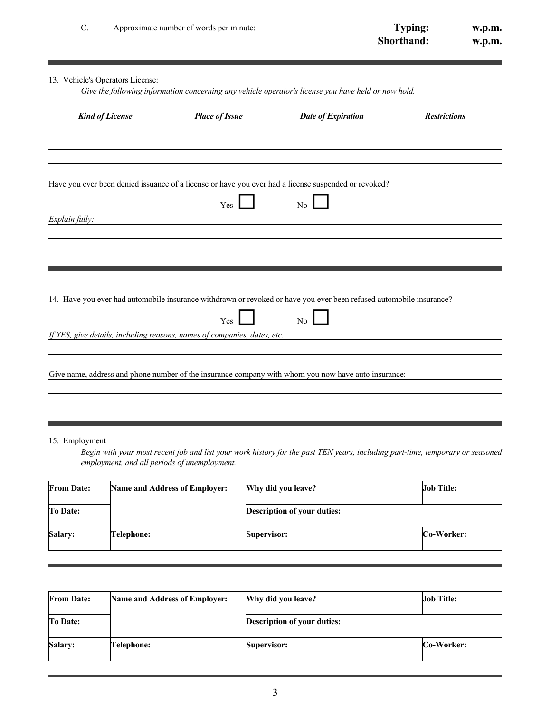| U. | Approximate number of words per minute: | Typing:           | w.p.m. |
|----|-----------------------------------------|-------------------|--------|
|    |                                         | <b>Shorthand:</b> | w.p.m. |

## 13. Vehicle's Operators License:

*Give the following information concerning any vehicle operator's license you have held or now hold.*

| <b>Kind of License</b>                                                   | <b>Place of Issue</b> | <b>Date of Expiration</b>                                                                                           | <b>Restrictions</b> |
|--------------------------------------------------------------------------|-----------------------|---------------------------------------------------------------------------------------------------------------------|---------------------|
|                                                                          |                       |                                                                                                                     |                     |
|                                                                          |                       |                                                                                                                     |                     |
|                                                                          |                       |                                                                                                                     |                     |
|                                                                          |                       |                                                                                                                     |                     |
|                                                                          |                       |                                                                                                                     |                     |
|                                                                          |                       | Have you ever been denied issuance of a license or have you ever had a license suspended or revoked?                |                     |
|                                                                          |                       |                                                                                                                     |                     |
|                                                                          | Yes                   | No                                                                                                                  |                     |
|                                                                          |                       |                                                                                                                     |                     |
| Explain fully:                                                           |                       |                                                                                                                     |                     |
|                                                                          |                       |                                                                                                                     |                     |
|                                                                          |                       |                                                                                                                     |                     |
|                                                                          |                       |                                                                                                                     |                     |
|                                                                          |                       |                                                                                                                     |                     |
|                                                                          |                       |                                                                                                                     |                     |
|                                                                          |                       |                                                                                                                     |                     |
|                                                                          |                       |                                                                                                                     |                     |
|                                                                          |                       | 14. Have you ever had automobile insurance withdrawn or revoked or have you ever been refused automobile insurance? |                     |
|                                                                          |                       |                                                                                                                     |                     |
|                                                                          | Yes                   | No                                                                                                                  |                     |
| If YES, give details, including reasons, names of companies, dates, etc. |                       |                                                                                                                     |                     |
|                                                                          |                       |                                                                                                                     |                     |
|                                                                          |                       |                                                                                                                     |                     |
|                                                                          |                       |                                                                                                                     |                     |
|                                                                          |                       | Give name, address and phone number of the insurance company with whom you now have auto insurance:                 |                     |
|                                                                          |                       |                                                                                                                     |                     |
|                                                                          |                       |                                                                                                                     |                     |

15. Employment

*Begin with your most recent job and list your work history for the past TEN years, including part-time, temporary or seasoned employment, and all periods of unemployment.*

| <b>From Date:</b> | <b>Name and Address of Employer:</b> | Why did you leave?                 | <b>Job Title:</b> |
|-------------------|--------------------------------------|------------------------------------|-------------------|
| <b>To Date:</b>   |                                      | <b>Description of your duties:</b> |                   |
| Salary:           | Telephone:                           | Supervisor:                        | Co-Worker:        |

| <b>From Date:</b> | <b>Name and Address of Employer:</b> | Why did you leave?                 | <b>Job Title:</b> |
|-------------------|--------------------------------------|------------------------------------|-------------------|
| <b>To Date:</b>   |                                      | <b>Description of your duties:</b> |                   |
| <b>Salary:</b>    | Telephone:                           | <b>Supervisor:</b>                 | Co-Worker:        |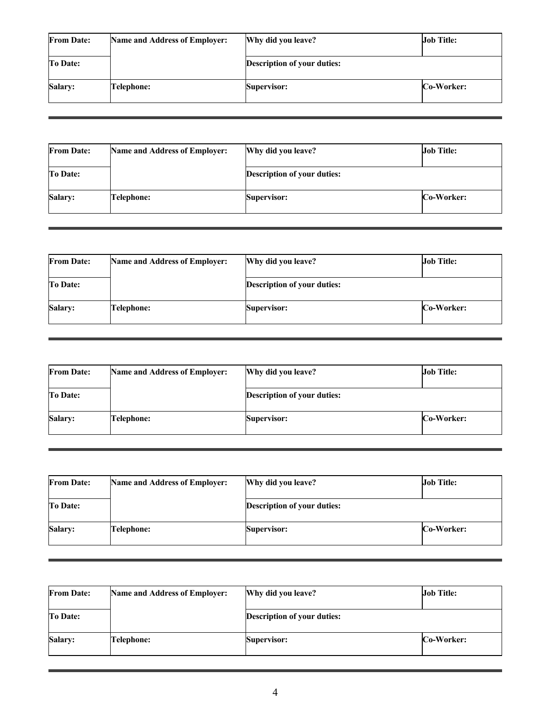| <b>From Date:</b> | <b>Name and Address of Employer:</b> | Why did you leave?                 | <b>Job Title:</b> |
|-------------------|--------------------------------------|------------------------------------|-------------------|
| <b>To Date:</b>   |                                      | <b>Description of your duties:</b> |                   |
| Salary:           | Telephone:                           | <b>Supervisor:</b>                 | Co-Worker:        |

| <b>From Date:</b> | <b>Name and Address of Employer:</b> | Why did you leave?                 | <b>Job Title:</b> |
|-------------------|--------------------------------------|------------------------------------|-------------------|
| <b>To Date:</b>   |                                      | <b>Description of your duties:</b> |                   |
| <b>Salary:</b>    | Telephone:                           | <b>Supervisor:</b>                 | Co-Worker:        |

| <b>From Date:</b> | <b>Name and Address of Employer:</b> | Why did you leave?                 | <b>Job Title:</b> |
|-------------------|--------------------------------------|------------------------------------|-------------------|
| <b>To Date:</b>   |                                      | <b>Description of your duties:</b> |                   |
| <b>Salary:</b>    | Telephone:                           | <b>Supervisor:</b>                 | <b>Co-Worker:</b> |

| <b>From Date:</b> | <b>Name and Address of Employer:</b> | Why did you leave?                 | <b>Job Title:</b> |
|-------------------|--------------------------------------|------------------------------------|-------------------|
| <b>To Date:</b>   |                                      | <b>Description of your duties:</b> |                   |
| Salary:           | Telephone:                           | <b>Supervisor:</b>                 | Co-Worker:        |

| <b>From Date:</b> | <b>Name and Address of Employer:</b> | Why did you leave?                 | <b>Job Title:</b> |  |
|-------------------|--------------------------------------|------------------------------------|-------------------|--|
| <b>To Date:</b>   |                                      | <b>Description of your duties:</b> |                   |  |
| <b>Salary:</b>    | Telephone:                           | <b>Supervisor:</b>                 | Co-Worker:        |  |

| <b>From Date:</b> | <b>Name and Address of Employer:</b> | Why did you leave?                 | <b>Job Title:</b> |
|-------------------|--------------------------------------|------------------------------------|-------------------|
| To Date:          |                                      | <b>Description of your duties:</b> |                   |
| Salary:           | Telephone:                           | <b>Supervisor:</b>                 | <b>Co-Worker:</b> |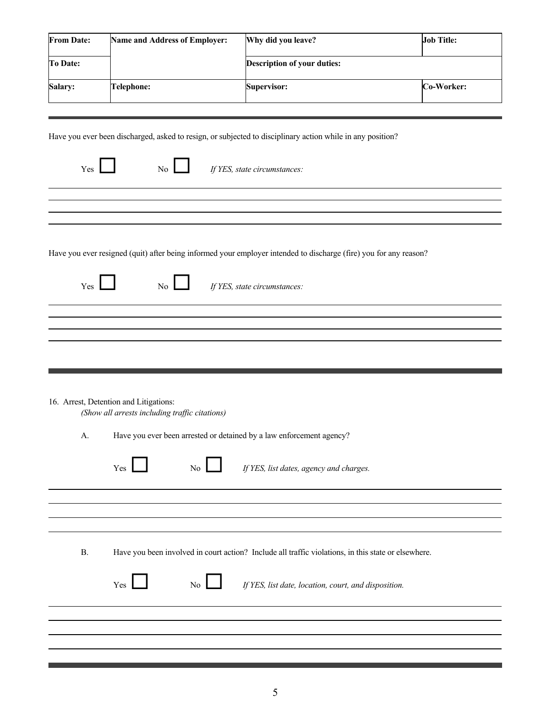| <b>Description of your duties:</b><br><b>To Date:</b><br><b>Salary:</b><br>Co-Worker:<br>Telephone:<br><b>Supervisor:</b> | <b>From Date:</b> | <b>Name and Address of Employer:</b> | Why did you leave? | <b>Job Title:</b> |
|---------------------------------------------------------------------------------------------------------------------------|-------------------|--------------------------------------|--------------------|-------------------|
|                                                                                                                           |                   |                                      |                    |                   |
|                                                                                                                           |                   |                                      |                    |                   |

Have you ever been discharged, asked to resign, or subjected to disciplinary action while in any position?

| Yes |  | If YES, state circumstances: |
|-----|--|------------------------------|
|     |  |                              |

Have you ever resigned (quit) after being informed your employer intended to discharge (fire) you for any reason?

Yes No *If YES, state circumstances:*

16. Arrest, Detention and Litigations:

*(Show all arrests including traffic citations)*

A. Have you ever been arrested or detained by a law enforcement agency?

|           | $\overline{N_{0}}$<br>If YES, list dates, agency and charges.<br>Yes                                |  |
|-----------|-----------------------------------------------------------------------------------------------------|--|
|           |                                                                                                     |  |
|           |                                                                                                     |  |
| <b>B.</b> | Have you been involved in court action? Include all traffic violations, in this state or elsewhere. |  |
|           | No<br>If YES, list date, location, court, and disposition.<br>Yes                                   |  |
|           |                                                                                                     |  |
|           |                                                                                                     |  |
|           |                                                                                                     |  |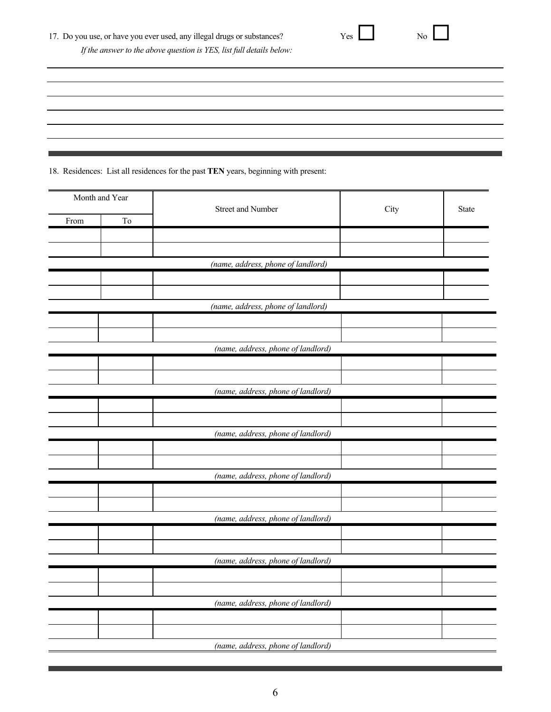18. Residences: List all residences for the past **TEN** years, beginning with present:

| Month and Year |    | Street and Number                  | City | State |
|----------------|----|------------------------------------|------|-------|
| From           | To |                                    |      |       |
|                |    |                                    |      |       |
|                |    |                                    |      |       |
|                |    | (name, address, phone of landlord) |      |       |
|                |    |                                    |      |       |
|                |    |                                    |      |       |
|                |    | (name, address, phone of landlord) |      |       |
|                |    |                                    |      |       |
|                |    |                                    |      |       |
|                |    | (name, address, phone of landlord) |      |       |
|                |    |                                    |      |       |
|                |    |                                    |      |       |
|                |    | (name, address, phone of landlord) |      |       |
|                |    |                                    |      |       |
|                |    |                                    |      |       |
|                |    | (name, address, phone of landlord) |      |       |
|                |    |                                    |      |       |
|                |    |                                    |      |       |
|                |    | (name, address, phone of landlord) |      |       |
|                |    |                                    |      |       |
|                |    |                                    |      |       |
|                |    | (name, address, phone of landlord) |      |       |
|                |    |                                    |      |       |
|                |    |                                    |      |       |
|                |    | (name, address, phone of landlord) |      |       |
|                |    |                                    |      |       |
|                |    |                                    |      |       |
|                |    | (name, address, phone of landlord) |      |       |
|                |    |                                    |      |       |
|                |    |                                    |      |       |
|                |    | (name, address, phone of landlord) |      |       |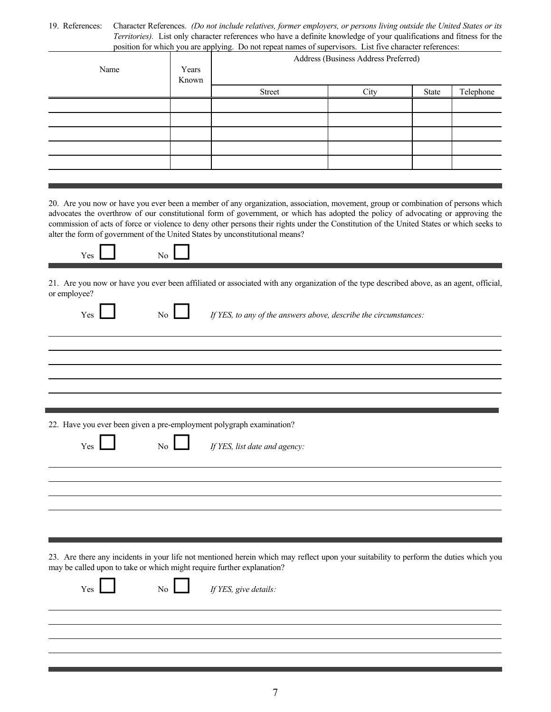19. References: Character References. *(Do not include relatives, former employers, or persons living outside the United States or its Territories).* List only character references who have a definite knowledge of your qualifications and fitness for the position for which you are applying. Do not repeat names of supervisors. List five character references:

| Name | Years<br>Known | Address (Business Address Preferred) |      |       |           |
|------|----------------|--------------------------------------|------|-------|-----------|
|      |                | Street                               | City | State | Telephone |
|      |                |                                      |      |       |           |
|      |                |                                      |      |       |           |
|      |                |                                      |      |       |           |
|      |                |                                      |      |       |           |
|      |                |                                      |      |       |           |
|      |                |                                      |      |       |           |

20. Are you now or have you ever been a member of any organization, association, movement, group or combination of persons which advocates the overthrow of our constitutional form of government, or which has adopted the policy of advocating or approving the commission of acts of force or violence to deny other persons their rights under the Constitution of the United States or which seeks to alter the form of government of the United States by unconstitutional means?



21. Are you now or have you ever been affiliated or associated with any organization of the type described above, as an agent, official, or employee?

| -<br>- 1 |  |  |
|----------|--|--|

Yes **No** *If YES, to any of the answers above, describe the circumstances:* 

22. Have you ever been given a pre-employment polygraph examination?

Yes **No** *If YES, list date and agency:* 

23. Are there any incidents in your life not mentioned herein which may reflect upon your suitability to perform the duties which you may be called upon to take or which might require further explanation?

Yes <u>No *If YES, give details*:</u>